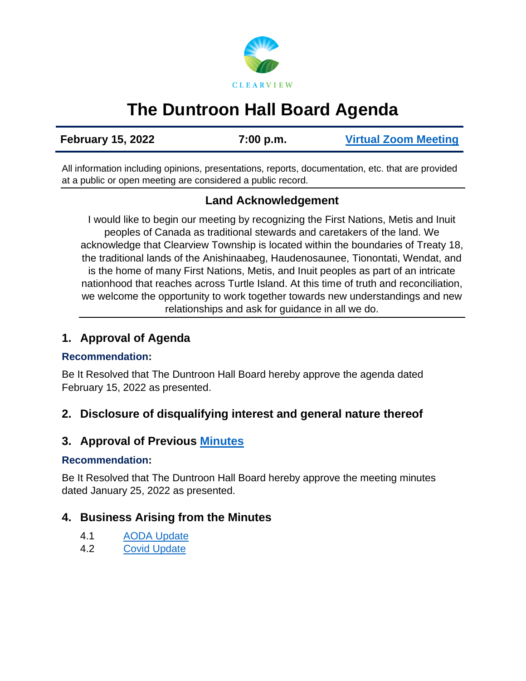

# **The Duntroon Hall Board Agenda**

**February 15, 2022 7:00 p.m. [Virtual Zoom Meeting](https://us02web.zoom.us/j/85911705436)**

All information including opinions, presentations, reports, documentation, etc. that are provided at a public or open meeting are considered a public record.

# **Land Acknowledgement**

I would like to begin our meeting by recognizing the First Nations, Metis and Inuit peoples of Canada as traditional stewards and caretakers of the land. We acknowledge that Clearview Township is located within the boundaries of Treaty 18, the traditional lands of the Anishinaabeg, Haudenosaunee, Tionontati, Wendat, and is the home of many First Nations, Metis, and Inuit peoples as part of an intricate nationhood that reaches across Turtle Island. At this time of truth and reconciliation, we welcome the opportunity to work together towards new understandings and new relationships and ask for guidance in all we do.

## **1. Approval of Agenda**

#### **Recommendation:**

Be It Resolved that The Duntroon Hall Board hereby approve the agenda dated February 15, 2022 as presented.

## **2. Disclosure of disqualifying interest and general nature thereof**

# **3. Approval of Previous [Minutes](https://www.clearview.ca/sites/default/files/uploads/publications/2022-01-25_duntroon_hall_board_minutes.pdf)**

#### **Recommendation:**

Be It Resolved that The Duntroon Hall Board hereby approve the meeting minutes dated January 25, 2022 as presented.

## **4. Business Arising from the Minutes**

- 4.1 [AODA Update](https://www.clearview.ca/sites/default/files/uploads/publications/2022-02-15_aoda_duntroon_hall_-_lloyd_hunt_0.pdf)
- 4.2 Covid [Update](https://www.clearview.ca/sites/default/files/uploads/publications/2022-01-27_and_2022-02-07_covid_updates.pdf)